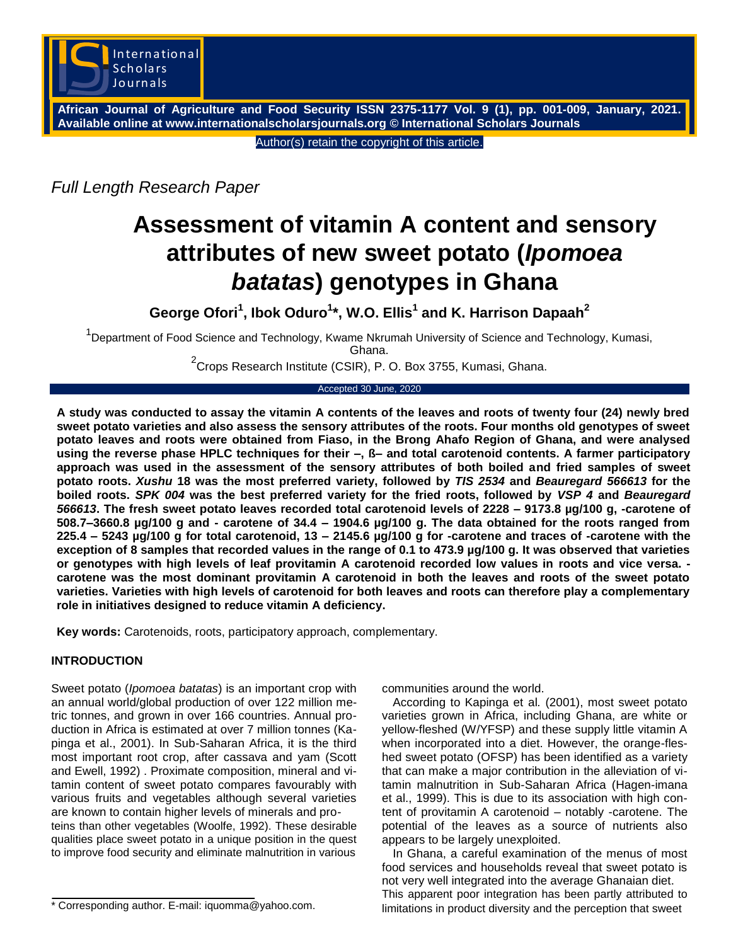

**African Journal of Agriculture and Food Security ISSN 2375-1177 Vol. 9 (1), pp. 001-009, January, 2021. Available online at www.internationalscholarsjournals.org © International Scholars Journals**

Author(s) retain the copyright of this article.

*Full Length Research Paper*

# **Assessment of vitamin A content and sensory attributes of new sweet potato (***Ipomoea batatas***) genotypes in Ghana**

**George Ofori<sup>1</sup> , Ibok Oduro<sup>1</sup> \*, W.O. Ellis<sup>1</sup> and K. Harrison Dapaah<sup>2</sup>**

<sup>1</sup>Department of Food Science and Technology, Kwame Nkrumah University of Science and Technology, Kumasi, Ghana.

 $^{2}$ Crops Research Institute (CSIR), P. O. Box 3755, Kumasi, Ghana.

Accepted 30 June, 2020

**A study was conducted to assay the vitamin A contents of the leaves and roots of twenty four (24) newly bred sweet potato varieties and also assess the sensory attributes of the roots. Four months old genotypes of sweet potato leaves and roots were obtained from Fiaso, in the Brong Ahafo Region of Ghana, and were analysed using the reverse phase HPLC techniques for their –, ß– and total carotenoid contents. A farmer participatory approach was used in the assessment of the sensory attributes of both boiled and fried samples of sweet potato roots.** *Xushu* **18 was the most preferred variety, followed by** *TIS 2534* **and** *Beauregard 566613* **for the boiled roots.** *SPK 004* **was the best preferred variety for the fried roots, followed by** *VSP 4* **and** *Beauregard 566613***. The fresh sweet potato leaves recorded total carotenoid levels of 2228 – 9173.8 µg/100 g, -carotene of 508.7–3660.8 µg/100 g and - carotene of 34.4 – 1904.6 µg/100 g. The data obtained for the roots ranged from 225.4 – 5243 µg/100 g for total carotenoid, 13 – 2145.6 µg/100 g for -carotene and traces of -carotene with the exception of 8 samples that recorded values in the range of 0.1 to 473.9 µg/100 g. It was observed that varieties or genotypes with high levels of leaf provitamin A carotenoid recorded low values in roots and vice versa. carotene was the most dominant provitamin A carotenoid in both the leaves and roots of the sweet potato varieties. Varieties with high levels of carotenoid for both leaves and roots can therefore play a complementary role in initiatives designed to reduce vitamin A deficiency.**

**Key words:** Carotenoids, roots, participatory approach, complementary.

# **INTRODUCTION**

Sweet potato (*Ipomoea batatas*) is an important crop with an annual world/global production of over 122 million metric tonnes, and grown in over 166 countries. Annual production in Africa is estimated at over 7 million tonnes (Kapinga et al., 2001). In Sub-Saharan Africa, it is the third most important root crop, after cassava and yam (Scott and Ewell, 1992) . Proximate composition, mineral and vitamin content of sweet potato compares favourably with various fruits and vegetables although several varieties are known to contain higher levels of minerals and proteins than other vegetables (Woolfe, 1992). These desirable qualities place sweet potato in a unique position in the quest to improve food security and eliminate malnutrition in various

\* Corresponding author. E-mail: iquomma@yahoo.com.

communities around the world.

According to Kapinga et al*.* (2001), most sweet potato varieties grown in Africa, including Ghana, are white or yellow-fleshed (W/YFSP) and these supply little vitamin A when incorporated into a diet. However, the orange-fleshed sweet potato (OFSP) has been identified as a variety that can make a major contribution in the alleviation of vitamin malnutrition in Sub-Saharan Africa (Hagen-imana et al., 1999). This is due to its association with high content of provitamin A carotenoid – notably -carotene. The potential of the leaves as a source of nutrients also appears to be largely unexploited.

In Ghana, a careful examination of the menus of most food services and households reveal that sweet potato is not very well integrated into the average Ghanaian diet. This apparent poor integration has been partly attributed to limitations in product diversity and the perception that sweet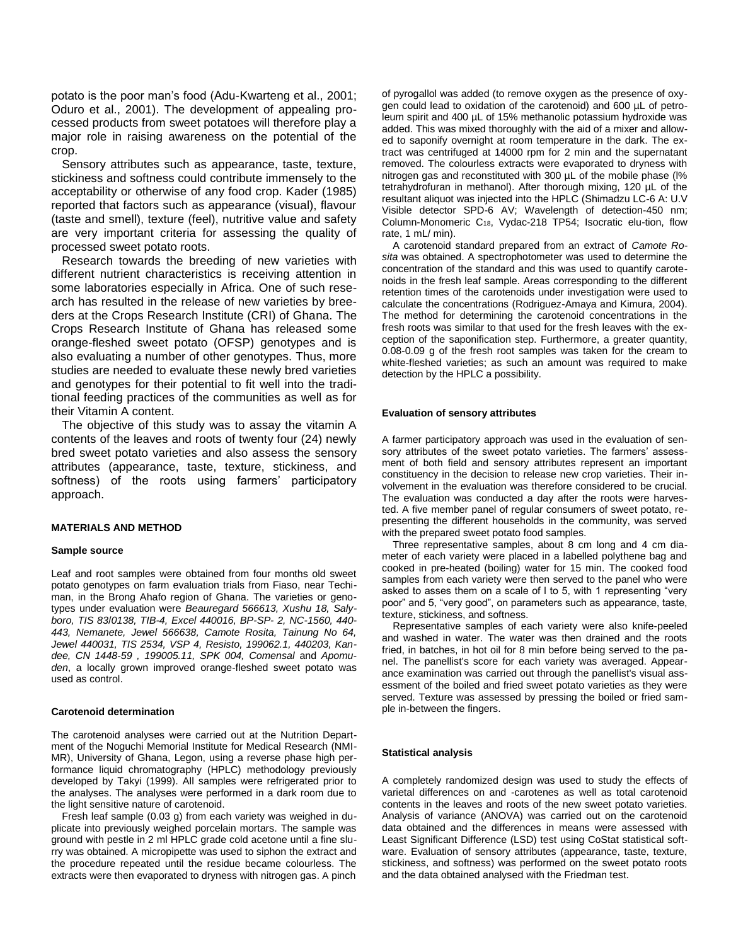potato is the poor man's food (Adu-Kwarteng et al., 2001; Oduro et al., 2001). The development of appealing processed products from sweet potatoes will therefore play a major role in raising awareness on the potential of the crop.

Sensory attributes such as appearance, taste, texture, stickiness and softness could contribute immensely to the acceptability or otherwise of any food crop. Kader (1985) reported that factors such as appearance (visual), flavour (taste and smell), texture (feel), nutritive value and safety are very important criteria for assessing the quality of processed sweet potato roots.

Research towards the breeding of new varieties with different nutrient characteristics is receiving attention in some laboratories especially in Africa. One of such research has resulted in the release of new varieties by breeders at the Crops Research Institute (CRI) of Ghana. The Crops Research Institute of Ghana has released some orange-fleshed sweet potato (OFSP) genotypes and is also evaluating a number of other genotypes. Thus, more studies are needed to evaluate these newly bred varieties and genotypes for their potential to fit well into the traditional feeding practices of the communities as well as for their Vitamin A content.

The objective of this study was to assay the vitamin A contents of the leaves and roots of twenty four (24) newly bred sweet potato varieties and also assess the sensory attributes (appearance, taste, texture, stickiness, and softness) of the roots using farmers' participatory approach.

## **MATERIALS AND METHOD**

#### **Sample source**

Leaf and root samples were obtained from four months old sweet potato genotypes on farm evaluation trials from Fiaso, near Techiman, in the Brong Ahafo region of Ghana. The varieties or genotypes under evaluation were *Beauregard 566613, Xushu 18, Salyboro, TIS 83*/*0138, TIB-4, Excel 440016, BP-SP- 2, NC-1560, 440- 443, Nemanete, Jewel 566638, Camote Rosita, Tainung No 64, Jewel 440031, TIS 2534, VSP 4, Resisto, 199062.1, 440203, Kandee, CN 1448-59 , 199005.11, SPK 004, Comensal* and *Apomuden*, a locally grown improved orange-fleshed sweet potato was used as control.

#### **Carotenoid determination**

The carotenoid analyses were carried out at the Nutrition Department of the Noguchi Memorial Institute for Medical Research (NMI-MR), University of Ghana, Legon, using a reverse phase high performance liquid chromatography (HPLC) methodology previously developed by Takyi (1999). All samples were refrigerated prior to the analyses. The analyses were performed in a dark room due to the light sensitive nature of carotenoid.

Fresh leaf sample (0.03 g) from each variety was weighed in duplicate into previously weighed porcelain mortars. The sample was ground with pestle in 2 ml HPLC grade cold acetone until a fine slurry was obtained. A micropipette was used to siphon the extract and the procedure repeated until the residue became colourless. The extracts were then evaporated to dryness with nitrogen gas. A pinch

of pyrogallol was added (to remove oxygen as the presence of oxygen could lead to oxidation of the carotenoid) and 600 µL of petroleum spirit and 400 µL of 15% methanolic potassium hydroxide was added. This was mixed thoroughly with the aid of a mixer and allowed to saponify overnight at room temperature in the dark. The extract was centrifuged at 14000 rpm for 2 min and the supernatant removed. The colourless extracts were evaporated to dryness with nitrogen gas and reconstituted with 300 µL of the mobile phase (l% tetrahydrofuran in methanol). After thorough mixing, 120 µL of the resultant aliquot was injected into the HPLC (Shimadzu LC-6 A: U.V Visible detector SPD-6 AV; Wavelength of detection-450 nm; Column-Monomeric C18, Vydac-218 TP54; Isocratic elu-tion, flow rate, 1 mL/ min).

A carotenoid standard prepared from an extract of *Camote Rosita* was obtained. A spectrophotometer was used to determine the concentration of the standard and this was used to quantify carotenoids in the fresh leaf sample. Areas corresponding to the different retention times of the carotenoids under investigation were used to calculate the concentrations (Rodriguez-Amaya and Kimura, 2004). The method for determining the carotenoid concentrations in the fresh roots was similar to that used for the fresh leaves with the exception of the saponification step. Furthermore, a greater quantity, 0.08-0.09 g of the fresh root samples was taken for the cream to white-fleshed varieties; as such an amount was required to make detection by the HPLC a possibility.

#### **Evaluation of sensory attributes**

A farmer participatory approach was used in the evaluation of sensory attributes of the sweet potato varieties. The farmers' assessment of both field and sensory attributes represent an important constituency in the decision to release new crop varieties. Their involvement in the evaluation was therefore considered to be crucial. The evaluation was conducted a day after the roots were harvested. A five member panel of regular consumers of sweet potato, representing the different households in the community, was served with the prepared sweet potato food samples.

Three representative samples, about 8 cm long and 4 cm diameter of each variety were placed in a labelled polythene bag and cooked in pre-heated (boiling) water for 15 min. The cooked food samples from each variety were then served to the panel who were asked to asses them on a scale of l to 5, with 1 representing "very poor" and 5, "very good", on parameters such as appearance, taste, texture, stickiness, and softness.

Representative samples of each variety were also knife-peeled and washed in water. The water was then drained and the roots fried, in batches, in hot oil for 8 min before being served to the panel. The panellist's score for each variety was averaged. Appearance examination was carried out through the panellist's visual assessment of the boiled and fried sweet potato varieties as they were served. Texture was assessed by pressing the boiled or fried sample in-between the fingers.

#### **Statistical analysis**

A completely randomized design was used to study the effects of varietal differences on and -carotenes as well as total carotenoid contents in the leaves and roots of the new sweet potato varieties. Analysis of variance (ANOVA) was carried out on the carotenoid data obtained and the differences in means were assessed with Least Significant Difference (LSD) test using CoStat statistical software. Evaluation of sensory attributes (appearance, taste, texture, stickiness, and softness) was performed on the sweet potato roots and the data obtained analysed with the Friedman test.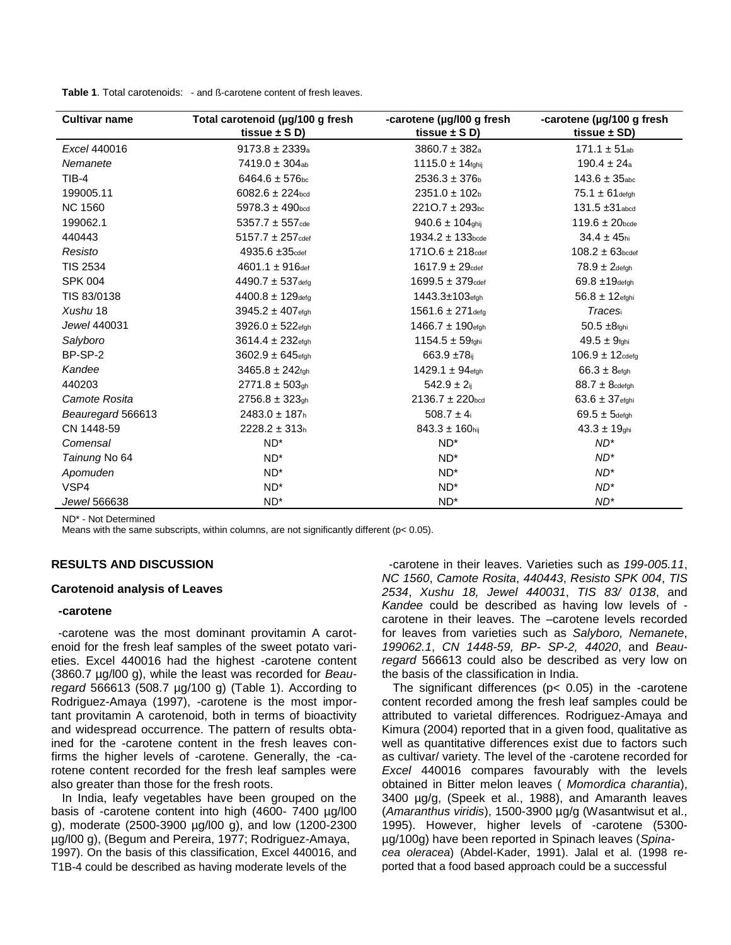Table 1. Total carotenoids: - and ß-carotene content of fresh leaves.

| <b>Cultivar name</b> | Total carotenoid (µg/100 g fresh<br>tissue $\pm$ S D) | -carotene (µg/l00 g fresh<br>tissue $\pm$ S D) | -carotene (µg/100 g fresh<br>tissue $\pm$ SD) |
|----------------------|-------------------------------------------------------|------------------------------------------------|-----------------------------------------------|
| Excel 440016         | $9173.8 \pm 2339a$                                    | $3860.7 \pm 382a$                              | $171.1 \pm 51$ <sub>ab</sub>                  |
| Nemanete             | $7419.0 \pm 304$ ab                                   | $1115.0 \pm 14$ fghij                          | $190.4 \pm 24a$                               |
| $TIB-4$              | $6464.6 \pm 576$ <sub>bc</sub>                        | $2536.3 \pm 376$                               | $143.6 \pm 35$ <sub>abc</sub>                 |
| 199005.11            | $6082.6 \pm 224$ <sub>bcd</sub>                       | $2351.0 \pm 102$ <sub>b</sub>                  | $75.1 \pm 61$ defgh                           |
| <b>NC 1560</b>       | $5978.3 \pm 490$ <sub>bcd</sub>                       | $2210.7 \pm 293$ bc                            | $131.5 \pm 31$ abod                           |
| 199062.1             | $5357.7 \pm 557$ <sub>cde</sub>                       | $940.6 \pm 104$ ghij                           | $119.6 \pm 20$ <sub>bcde</sub>                |
| 440443               | $5157.7 \pm 257$ cdef                                 | $1934.2 \pm 133$ <sub>bcde</sub>               | $34.4 \pm 45$ hi                              |
| Resisto              | 4935.6 ±35 <sub>cdef</sub>                            | $1710.6 \pm 218$ cdef                          | $108.2 \pm 63$ <sub>bcdef</sub>               |
| <b>TIS 2534</b>      | $4601.1 \pm 916$ def                                  | $1617.9 \pm 29$ cdef                           | $78.9 \pm 2$ defah                            |
| <b>SPK 004</b>       | $4490.7 \pm 537$ defg                                 | $1699.5 \pm 379$ cdef                          | $69.8 \pm 19$ defgh                           |
| TIS 83/0138          | $4400.8 \pm 129$ defg                                 | 1443.3±103efgh                                 | $56.8 \pm 12$ efghi                           |
| Xushu 18             | 3945.2 ± 407 <sub>efgh</sub>                          | $1561.6 \pm 271$ defg                          | Traces                                        |
| Jewel 440031         | 3926.0 ± 522efgh                                      | $1466.7 \pm 190$ efgh                          | $50.5 \pm 8$ fghi                             |
| Salyboro             | 3614.4 ± 232 <sub>efgh</sub>                          | $1154.5 \pm 59$ fghi                           | $49.5 \pm 9$ fghi                             |
| BP-SP-2              | $3602.9 \pm 645$ efgh                                 | 663.9 $±78$ ij                                 | $106.9 \pm 12$ cdefa                          |
| Kandee               | $3465.8 \pm 242$ fgh                                  | $1429.1 \pm 94$ efgh                           | $66.3 \pm 8$ efgh                             |
| 440203               | $2771.8 \pm 503$ <sub>gh</sub>                        | $542.9 \pm 2$ ij                               | $88.7 \pm 8$ cdefgh                           |
| Camote Rosita        | $2756.8 \pm 323$ gh                                   | $2136.7 \pm 220$ <sub>bcd</sub>                | $63.6 \pm 37$ efghi                           |
| Beauregard 566613    | $2483.0 \pm 187h$                                     | $508.7 \pm 4$ i                                | $69.5 \pm 5$ defgh                            |
| CN 1448-59           | $2228.2 \pm 313h$                                     | $843.3 \pm 160$ hij                            | $43.3 \pm 19$ ghi                             |
| Comensal             | $ND^*$                                                | $ND^*$                                         | $ND^*$                                        |
| Tainung No 64        | $ND^*$                                                | $ND^*$                                         | $ND^*$                                        |
| Apomuden             | $ND^*$                                                | $ND^*$                                         | $ND^*$                                        |
| VSP4                 | $ND^*$                                                | $ND^*$                                         | $ND^*$                                        |
| Jewel 566638         | $ND^*$                                                | $ND^*$                                         | $ND^*$                                        |

ND\* - Not Determined

Means with the same subscripts, within columns, are not significantly different ( $p < 0.05$ ).

# **RESULTS AND DISCUSSION**

# **Carotenoid analysis of Leaves**

## -carotene

-carotene was the most dominant provitamin A carotenoid for the fresh leaf samples of the sweet potato varieties. Excel 440016 had the highest -carotene content (3860.7 µg/l00 g), while the least was recorded for Beauregard 566613 (508.7 µg/100 g) (Table 1). According to Rodriguez-Amaya (1997), -carotene is the most important provitamin A carotenoid, both in terms of bioactivity and widespread occurrence. The pattern of results obtained for the -carotene content in the fresh leaves confirms the higher levels of -carotene. Generally, the -carotene content recorded for the fresh leaf samples were also greater than those for the fresh roots.

In India, leafy vegetables have been grouped on the basis of -carotene content into high  $(4600 - 7400 \mu g/100$ g), moderate (2500-3900 µg/l00 g), and low (1200-2300 µg/l00 g), (Begum and Pereira, 1977; Rodriguez-Amaya, 1997). On the basis of this classification, Excel 440016, and T1B-4 could be described as having moderate levels of the

-carotene in their leaves. Varieties such as 199-005.11. NC 1560, Camote Rosita, 440443, Resisto SPK 004, TIS 2534, Xushu 18, Jewel 440031, TIS 83/ 0138, and Kandee could be described as having low levels of carotene in their leaves. The -carotene levels recorded for leaves from varieties such as Salyboro. Nemanete. 199062.1, CN 1448-59, BP- SP-2, 44020, and Beauregard 566613 could also be described as very low on the basis of the classification in India.

The significant differences ( $p < 0.05$ ) in the -carotene content recorded among the fresh leaf samples could be attributed to varietal differences. Rodriguez-Amaya and Kimura (2004) reported that in a given food, qualitative as well as quantitative differences exist due to factors such as cultivar/ variety. The level of the -carotene recorded for Excel 440016 compares favourably with the levels obtained in Bitter melon leaves (Momordica charantia), 3400 µg/g, (Speek et al., 1988), and Amaranth leaves (Amaranthus viridis), 1500-3900 µg/g (Wasantwisut et al., 1995). However, higher levels of -carotene (5300µg/100g) have been reported in Spinach leaves (Spinacea oleracea) (Abdel-Kader, 1991). Jalal et al. (1998 reported that a food based approach could be a successful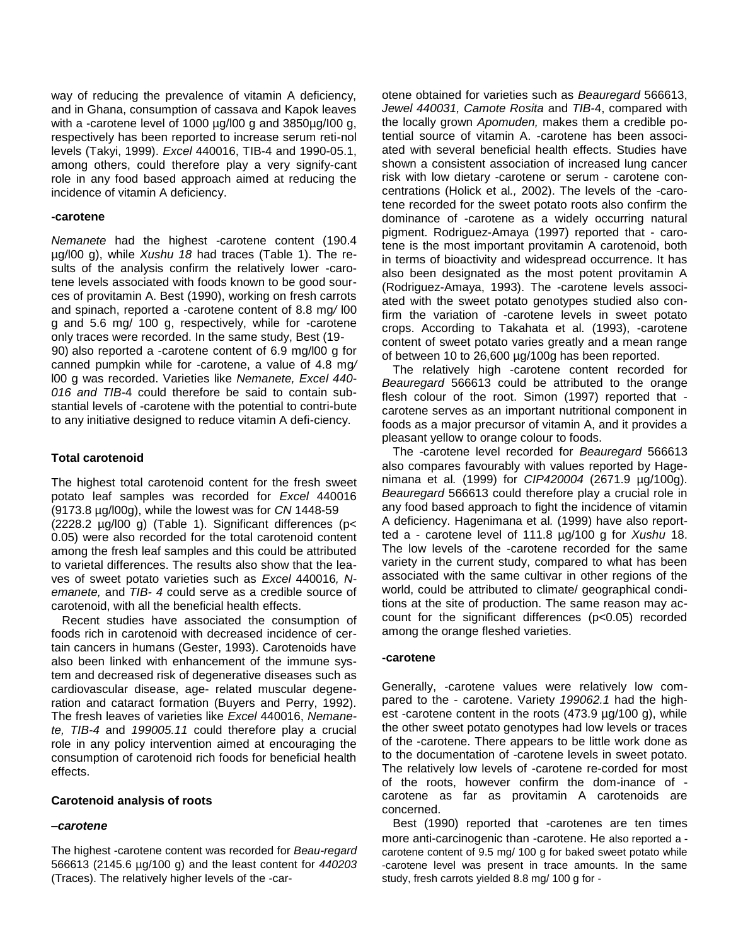way of reducing the prevalence of vitamin A deficiency, and in Ghana, consumption of cassava and Kapok leaves with a -carotene level of 1000 µg/l00 g and 3850µg/I00 g, respectively has been reported to increase serum reti-nol levels (Takyi, 1999). *Excel* 440016, TIB-4 and 1990-05.1, among others, could therefore play a very signify-cant role in any food based approach aimed at reducing the incidence of vitamin A deficiency.

## **-carotene**

*Nemanete* had the highest *-*carotene content (190.4 µg/l00 g), while *Xushu 18* had traces (Table 1). The results of the analysis confirm the relatively lower -carotene levels associated with foods known to be good sources of provitamin A. Best (1990), working on fresh carrots and spinach, reported a -carotene content of 8.8 mg*/* l00 g and 5.6 mg/ 100 g, respectively, while for -carotene only traces were recorded. In the same study, Best (19- 90) also reported a -carotene content of 6.9 mg/l00 g for canned pumpkin while for -carotene, a value of 4.8 mg*/* l00 g was recorded. Varieties like *Nemanete, Excel 440- 016 and TIB-*4 could therefore be said to contain substantial levels of -carotene with the potential to contri-bute to any initiative designed to reduce vitamin A defi-ciency.

## **Total carotenoid**

The highest total carotenoid content for the fresh sweet potato leaf samples was recorded for *Excel* 440016 (9173.8 µg/l00g), while the lowest was for *CN* 1448-59 (2228.2 µg/l00 g) (Table 1). Significant differences (p< 0.05) were also recorded for the total carotenoid content among the fresh leaf samples and this could be attributed to varietal differences. The results also show that the leaves of sweet potato varieties such as *Excel* 440016*, Nemanete,* and *TIB- 4* could serve as a credible source of carotenoid, with all the beneficial health effects.

Recent studies have associated the consumption of foods rich in carotenoid with decreased incidence of certain cancers in humans (Gester, 1993). Carotenoids have also been linked with enhancement of the immune system and decreased risk of degenerative diseases such as cardiovascular disease, age- related muscular degeneration and cataract formation (Buyers and Perry, 1992). The fresh leaves of varieties like *Excel* 440016, *Nemanete, TIB-4* and *199005.11* could therefore play a crucial role in any policy intervention aimed at encouraging the consumption of carotenoid rich foods for beneficial health effects.

# **Carotenoid analysis of roots**

## *–carotene*

The highest -carotene content was recorded for *Beau-regard*  566613 (2145.6 µg/100 g) and the least content for *440203*  (Traces). The relatively higher levels of the -carotene obtained for varieties such as *Beauregard* 566613, *Jewel 440031, Camote Rosita* and *TIB-*4, compared with the locally grown *Apomuden,* makes them a credible potential source of vitamin A. -carotene has been associated with several beneficial health effects. Studies have shown a consistent association of increased lung cancer risk with low dietary -carotene or serum - carotene concentrations (Holick et al*.,* 2002). The levels of the -carotene recorded for the sweet potato roots also confirm the dominance of -carotene as a widely occurring natural pigment. Rodriguez-Amaya (1997) reported that - carotene is the most important provitamin A carotenoid, both in terms of bioactivity and widespread occurrence. It has also been designated as the most potent provitamin A (Rodriguez-Amaya, 1993). The -carotene levels associated with the sweet potato genotypes studied also confirm the variation of -carotene levels in sweet potato crops. According to Takahata et al*.* (1993), -carotene content of sweet potato varies greatly and a mean range of between 10 to 26,600 µg/100g has been reported.

The relatively high -carotene content recorded for *Beauregard* 566613 could be attributed to the orange flesh colour of the root. Simon (1997) reported that carotene serves as an important nutritional component in foods as a major precursor of vitamin A, and it provides a pleasant yellow to orange colour to foods.

The -carotene level recorded for *Beauregard* 566613 also compares favourably with values reported by Hagenimana et al*.* (1999) for *CIP420004* (2671.9 µg/100g). *Beauregard* 566613 could therefore play a crucial role in any food based approach to fight the incidence of vitamin A deficiency. Hagenimana et al*.* (1999) have also reportted a - carotene level of 111.8 µg/100 g for *Xushu* 18. The low levels of the -carotene recorded for the same variety in the current study, compared to what has been associated with the same cultivar in other regions of the world, could be attributed to climate/ geographical conditions at the site of production. The same reason may account for the significant differences (p<0.05) recorded among the orange fleshed varieties.

#### **-carotene**

Generally, -carotene values were relatively low compared to the - carotene. Variety *199062.1* had the highest -carotene content in the roots (473.9 µg/100 g), while the other sweet potato genotypes had low levels or traces of the -carotene. There appears to be little work done as to the documentation of *-*carotene levels in sweet potato. The relatively low levels of -carotene re-corded for most of the roots, however confirm the dom-inance of carotene as far as provitamin A carotenoids are concerned.

Best (1990) reported that *-*carotenes are ten times more anti-carcinogenic than -carotene. He also reported a carotene content of 9.5 mg/ 100 g for baked sweet potato while -carotene level was present in trace amounts. In the same study, fresh carrots yielded 8.8 mg/ 100 g for -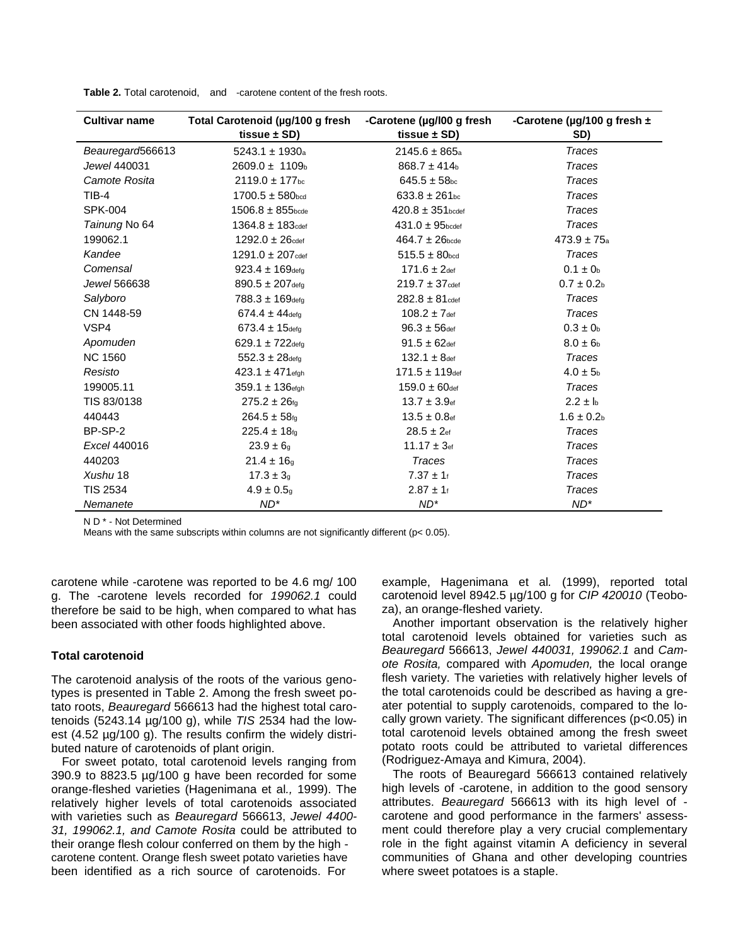| <b>Cultivar name</b> | Total Carotenoid (µg/100 g fresh<br>tissue $\pm$ SD) | -Carotene (µg/l00 g fresh<br>tissue $\pm$ SD) | -Carotene (µg/100 g fresh ±<br>SD) |
|----------------------|------------------------------------------------------|-----------------------------------------------|------------------------------------|
| Beauregard566613     | $5243.1 \pm 1930a$                                   | $2145.6 \pm 865a$                             | <b>Traces</b>                      |
| Jewel 440031         | $2609.0 \pm 1109$ <sub>b</sub>                       | $868.7 \pm 414$ <sub>b</sub>                  | <b>Traces</b>                      |
| Camote Rosita        | $2119.0 \pm 177$ <sub>bc</sub>                       | $645.5 \pm 58$ <sub>bc</sub>                  | <b>Traces</b>                      |
| $TIB-4$              | $1700.5 \pm 580$ <sub>bcd</sub>                      | $633.8 \pm 261$ <sub>bc</sub>                 | <b>Traces</b>                      |
| <b>SPK-004</b>       | $1506.8 \pm 855$ <sub>bcde</sub>                     | $420.8 \pm 351$ <sub>bcdef</sub>              | <b>Traces</b>                      |
| Tainung No 64        | $1364.8 \pm 183$ cdef                                | $431.0 \pm 95$ <sub>bcdef</sub>               | <b>Traces</b>                      |
| 199062.1             | $1292.0 \pm 26$ cdef                                 | $464.7 \pm 26$ <sub>bcde</sub>                | $473.9 \pm 75a$                    |
| Kandee               | $1291.0 \pm 207$ cdef                                | $515.5 \pm 80$ <sub>bcd</sub>                 | <b>Traces</b>                      |
| Comensal             | $923.4 \pm 169$ defa                                 | $171.6 \pm 2$ def                             | $0.1 \pm 0_{b}$                    |
| Jewel 566638         | $890.5 \pm 207$ defa                                 | $219.7 \pm 37$ cdef                           | $0.7 \pm 0.2$                      |
| Salyboro             | $788.3 \pm 169$ defg                                 | $282.8 \pm 81$ cdef                           | Traces                             |
| CN 1448-59           | $674.4 \pm 44$ defa                                  | $108.2 \pm 7$ def                             | <b>Traces</b>                      |
| VSP4                 | $673.4 \pm 15$ defa                                  | $96.3 \pm 56$ def                             | $0.3 \pm 0_{b}$                    |
| Apomuden             | $629.1 \pm 722$ defa                                 | $91.5 \pm 62$ def                             | $8.0 \pm 6$ <sub>b</sub>           |
| <b>NC 1560</b>       | $552.3 \pm 28$ defa                                  | $132.1 \pm 8$ def                             | <b>Traces</b>                      |
| Resisto              | $423.1 \pm 471$ efgh                                 | $171.5 \pm 119$ def                           | $4.0 \pm 5$ <sub>b</sub>           |
| 199005.11            | $359.1 \pm 136$ efgh                                 | $159.0 \pm 60$ def                            | <b>Traces</b>                      |
| TIS 83/0138          | $275.2 \pm 26$ fg                                    | $13.7 \pm 3.9$ ef                             | $2.2 \pm h$                        |
| 440443               | $264.5 \pm 58$ fg                                    | $13.5 \pm 0.8$ ef                             | $1.6 \pm 0.2$                      |
| BP-SP-2              | $225.4 \pm 18$ fg                                    | $28.5 \pm 2$ ef                               | <b>Traces</b>                      |
| Excel 440016         | $23.9 \pm 6$ g                                       | $11.17 \pm 3$ ef                              | <b>Traces</b>                      |
| 440203               | $21.4 \pm 16$ a                                      | <b>Traces</b>                                 | <b>Traces</b>                      |
| Xushu 18             | $17.3 \pm 3$ g                                       | $7.37 \pm 1$ f                                | <b>Traces</b>                      |
| <b>TIS 2534</b>      | $4.9 \pm 0.5$ q                                      | $2.87 \pm 1$ f                                | <b>Traces</b>                      |
| Nemanete             | $ND^*$                                               | $ND^*$                                        | $ND^*$                             |

Table 2. Total carotenoid, and -carotene content of the fresh roots.

N D<sup>\*</sup> - Not Determined

Means with the same subscripts within columns are not significantly different ( $p < 0.05$ ).

carotene while -carotene was reported to be 4.6 mg/ 100 g. The -carotene levels recorded for 199062.1 could therefore be said to be high, when compared to what has been associated with other foods highlighted above.

# **Total carotenoid**

The carotenoid analysis of the roots of the various genotypes is presented in Table 2. Among the fresh sweet potato roots, Beauregard 566613 had the highest total carotenoids (5243.14  $\mu$ g/100 g), while TIS 2534 had the lowest (4.52 µg/100 g). The results confirm the widely distributed nature of carotenoids of plant origin.

For sweet potato, total carotenoid levels ranging from 390.9 to 8823.5 µg/100 g have been recorded for some orange-fleshed varieties (Hagenimana et al., 1999). The relatively higher levels of total carotenoids associated with varieties such as Beauregard 566613, Jewel 4400-31, 199062.1, and Camote Rosita could be attributed to their orange flesh colour conferred on them by the high carotene content. Orange flesh sweet potato varieties have been identified as a rich source of carotenoids. For

example, Hagenimana et al. (1999), reported total carotenoid level 8942.5 µg/100 g for CIP 420010 (Teoboza), an orange-fleshed variety.

Another important observation is the relatively higher total carotenoid levels obtained for varieties such as Beauregard 566613, Jewel 440031, 199062.1 and Camote Rosita, compared with Apomuden, the local orange flesh variety. The varieties with relatively higher levels of the total carotenoids could be described as having a greater potential to supply carotenoids, compared to the locally grown variety. The significant differences (p<0.05) in total carotenoid levels obtained among the fresh sweet potato roots could be attributed to varietal differences (Rodriguez-Amaya and Kimura, 2004).

The roots of Beauregard 566613 contained relatively high levels of -carotene, in addition to the good sensory attributes. Beauregard 566613 with its high level of carotene and good performance in the farmers' assessment could therefore play a very crucial complementary role in the fight against vitamin A deficiency in several communities of Ghana and other developing countries where sweet potatoes is a staple.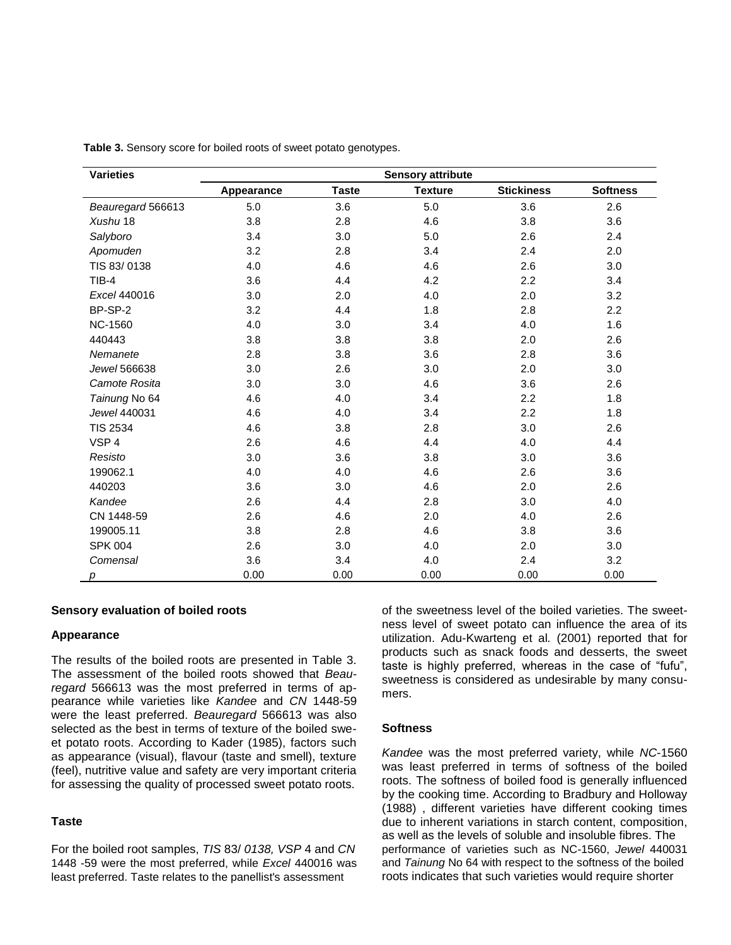| <b>Varieties</b>  |            |              | <b>Sensory attribute</b> |                   |                 |
|-------------------|------------|--------------|--------------------------|-------------------|-----------------|
|                   | Appearance | <b>Taste</b> | <b>Texture</b>           | <b>Stickiness</b> | <b>Softness</b> |
| Beauregard 566613 | $5.0$      | 3.6          | 5.0                      | 3.6               | 2.6             |
| Xushu 18          | 3.8        | 2.8          | 4.6                      | 3.8               | 3.6             |
| Salyboro          | 3.4        | 3.0          | 5.0                      | 2.6               | 2.4             |
| Apomuden          | 3.2        | 2.8          | 3.4                      | 2.4               | 2.0             |
| TIS 83/0138       | 4.0        | 4.6          | 4.6                      | 2.6               | 3.0             |
| $TIB-4$           | 3.6        | 4.4          | 4.2                      | 2.2               | 3.4             |
| Excel 440016      | 3.0        | 2.0          | 4.0                      | 2.0               | 3.2             |
| BP-SP-2           | 3.2        | 4.4          | 1.8                      | 2.8               | 2.2             |
| <b>NC-1560</b>    | 4.0        | 3.0          | 3.4                      | 4.0               | 1.6             |
| 440443            | 3.8        | 3.8          | 3.8                      | 2.0               | 2.6             |
| Nemanete          | 2.8        | 3.8          | 3.6                      | 2.8               | 3.6             |
| Jewel 566638      | 3.0        | 2.6          | 3.0                      | 2.0               | 3.0             |
| Camote Rosita     | 3.0        | 3.0          | 4.6                      | 3.6               | 2.6             |
| Tainung No 64     | 4.6        | 4.0          | 3.4                      | 2.2               | 1.8             |
| Jewel 440031      | 4.6        | 4.0          | 3.4                      | 2.2               | 1.8             |
| <b>TIS 2534</b>   | 4.6        | 3.8          | 2.8                      | 3.0               | 2.6             |
| VSP <sub>4</sub>  | 2.6        | 4.6          | 4.4                      | 4.0               | 4.4             |
| Resisto           | 3.0        | 3.6          | 3.8                      | 3.0               | 3.6             |
| 199062.1          | 4.0        | 4.0          | 4.6                      | 2.6               | 3.6             |
| 440203            | 3.6        | 3.0          | 4.6                      | 2.0               | 2.6             |
| Kandee            | 2.6        | 4.4          | 2.8                      | 3.0               | 4.0             |
| CN 1448-59        | 2.6        | 4.6          | 2.0                      | 4.0               | 2.6             |
| 199005.11         | 3.8        | 2.8          | 4.6                      | 3.8               | 3.6             |
| <b>SPK 004</b>    | 2.6        | 3.0          | 4.0                      | 2.0               | 3.0             |
| Comensal          | 3.6        | 3.4          | 4.0                      | 2.4               | 3.2             |
| р                 | 0.00       | 0.00         | 0.00                     | 0.00              | 0.00            |

**Table 3.** Sensory score for boiled roots of sweet potato genotypes.

# **Sensory evaluation of boiled roots**

#### **Appearance**

The results of the boiled roots are presented in Table 3. The assessment of the boiled roots showed that *Beauregard* 566613 was the most preferred in terms of appearance while varieties like *Kandee* and *CN* 1448-59 were the least preferred. *Beauregard* 566613 was also selected as the best in terms of texture of the boiled sweet potato roots. According to Kader (1985), factors such as appearance (visual), flavour (taste and smell), texture (feel), nutritive value and safety are very important criteria for assessing the quality of processed sweet potato roots.

# **Taste**

For the boiled root samples, *TIS* 83/ *0138, VSP* 4 and *CN* 1448 -59 were the most preferred, while *Excel* 440016 was least preferred. Taste relates to the panellist's assessment

of the sweetness level of the boiled varieties. The sweetness level of sweet potato can influence the area of its utilization. Adu-Kwarteng et al*.* (2001) reported that for products such as snack foods and desserts, the sweet taste is highly preferred, whereas in the case of "fufu", sweetness is considered as undesirable by many consumers.

# **Softness**

*Kandee* was the most preferred variety, while *NC*-1560 was least preferred in terms of softness of the boiled roots. The softness of boiled food is generally influenced by the cooking time. According to Bradbury and Holloway (1988) , different varieties have different cooking times due to inherent variations in starch content, composition, as well as the levels of soluble and insoluble fibres. The performance of varieties such as NC-1560, *Jewel* 440031 and *Tainung* No 64 with respect to the softness of the boiled roots indicates that such varieties would require shorter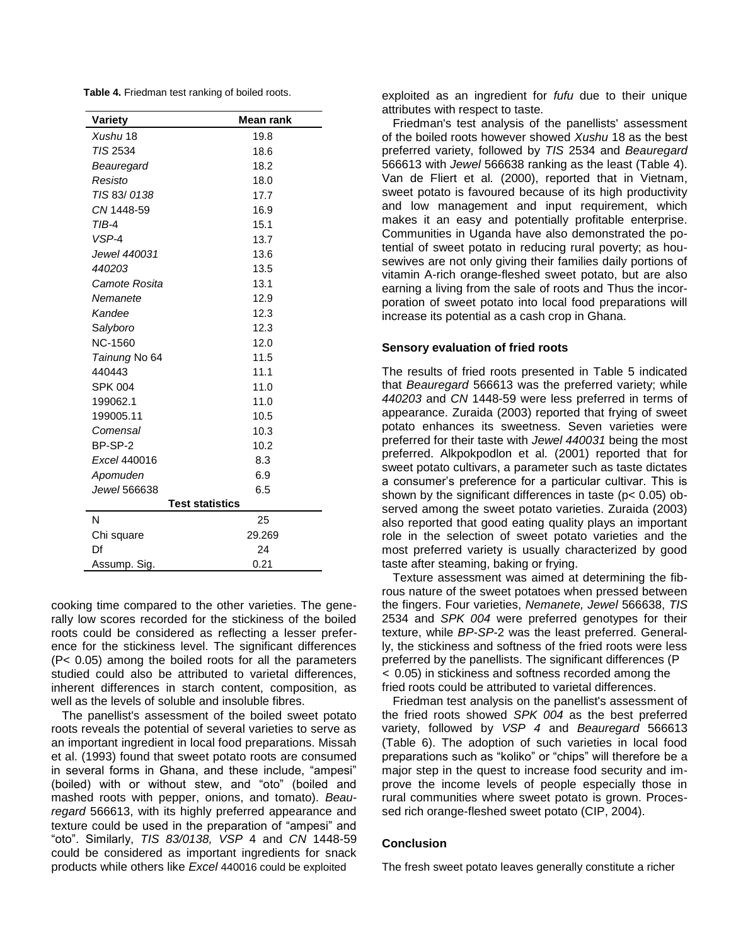**Table 4.** Friedman test ranking of boiled roots.

| Variety                | Mean rank |  |  |  |
|------------------------|-----------|--|--|--|
| Xushu 18               | 19.8      |  |  |  |
| TIS 2534               | 18.6      |  |  |  |
| Beauregard             | 18.2      |  |  |  |
| Resisto                | 18.0      |  |  |  |
| TIS 83/0138            | 17.7      |  |  |  |
| CN 1448-59             | 16.9      |  |  |  |
| TIB-4                  | 15.1      |  |  |  |
| VSP-4                  | 13.7      |  |  |  |
| Jewel 440031           | 13.6      |  |  |  |
| 440203                 | 13.5      |  |  |  |
| Camote Rosita          | 13.1      |  |  |  |
| Nemanete               | 12.9      |  |  |  |
| Kandee                 | 12.3      |  |  |  |
| Salyboro               | 12.3      |  |  |  |
| <b>NC-1560</b>         | 12.0      |  |  |  |
| Tainung No 64          | 11.5      |  |  |  |
| 440443                 | 11.1      |  |  |  |
| <b>SPK 004</b>         | 11.0      |  |  |  |
| 199062.1               | 11.0      |  |  |  |
| 199005.11              | 10.5      |  |  |  |
| Comensal               | 10.3      |  |  |  |
| BP-SP-2                | 10.2      |  |  |  |
| Excel 440016           | 8.3       |  |  |  |
| Apomuden               | 6.9       |  |  |  |
| Jewel 566638           | 6.5       |  |  |  |
| <b>Test statistics</b> |           |  |  |  |
| N                      | 25        |  |  |  |
| Chi square             | 29.269    |  |  |  |
| Df                     | 24        |  |  |  |
| Assump. Sig.           | 0.21      |  |  |  |

cooking time compared to the other varieties. The generally low scores recorded for the stickiness of the boiled roots could be considered as reflecting a lesser preference for the stickiness level. The significant differences (P< 0.05) among the boiled roots for all the parameters studied could also be attributed to varietal differences, inherent differences in starch content, composition, as well as the levels of soluble and insoluble fibres.

The panellist's assessment of the boiled sweet potato roots reveals the potential of several varieties to serve as an important ingredient in local food preparations. Missah et al. (1993) found that sweet potato roots are consumed in several forms in Ghana, and these include, "ampesi" (boiled) with or without stew, and "oto" (boiled and mashed roots with pepper, onions, and tomato). *Beauregard* 566613, with its highly preferred appearance and texture could be used in the preparation of "ampesi" and "oto". Similarly, *TIS 83/0138, VSP* 4 and *CN* 1448-59 could be considered as important ingredients for snack products while others like *Excel* 440016 could be exploited

exploited as an ingredient for *fufu* due to their unique attributes with respect to taste*.*

Friedman's test analysis of the panellists' assessment of the boiled roots however showed *Xushu* 18 as the best preferred variety, followed by *TIS* 2534 and *Beauregard* 566613 with *Jewel* 566638 ranking as the least (Table 4). Van de Fliert et al*.* (2000), reported that in Vietnam, sweet potato is favoured because of its high productivity and low management and input requirement, which makes it an easy and potentially profitable enterprise. Communities in Uganda have also demonstrated the potential of sweet potato in reducing rural poverty; as housewives are not only giving their families daily portions of vitamin A-rich orange-fleshed sweet potato, but are also earning a living from the sale of roots and Thus the incorporation of sweet potato into local food preparations will increase its potential as a cash crop in Ghana.

# **Sensory evaluation of fried roots**

The results of fried roots presented in Table 5 indicated that *Beauregard* 566613 was the preferred variety; while *440203* and *CN* 1448-59 were less preferred in terms of appearance. Zuraida (2003) reported that frying of sweet potato enhances its sweetness. Seven varieties were preferred for their taste with *Jewel 440031* being the most preferred. Alkpokpodlon et al*.* (2001) reported that for sweet potato cultivars, a parameter such as taste dictates a consumer's preference for a particular cultivar. This is shown by the significant differences in taste (p< 0.05) observed among the sweet potato varieties. Zuraida (2003) also reported that good eating quality plays an important role in the selection of sweet potato varieties and the most preferred variety is usually characterized by good taste after steaming, baking or frying.

Texture assessment was aimed at determining the fibrous nature of the sweet potatoes when pressed between the fingers. Four varieties, *Nemanete, Jewel* 566638, *TIS* 2534 and *SPK 004* were preferred genotypes for their texture, while *BP-SP-*2 was the least preferred. Generally, the stickiness and softness of the fried roots were less preferred by the panellists. The significant differences (P < 0.05) in stickiness and softness recorded among the fried roots could be attributed to varietal differences.

Friedman test analysis on the panellist's assessment of the fried roots showed *SPK 004* as the best preferred variety, followed by *VSP 4* and *Beauregard* 566613 (Table 6). The adoption of such varieties in local food preparations such as "koliko" or "chips" will therefore be a major step in the quest to increase food security and improve the income levels of people especially those in rural communities where sweet potato is grown. Processed rich orange-fleshed sweet potato (CIP, 2004).

## **Conclusion**

The fresh sweet potato leaves generally constitute a richer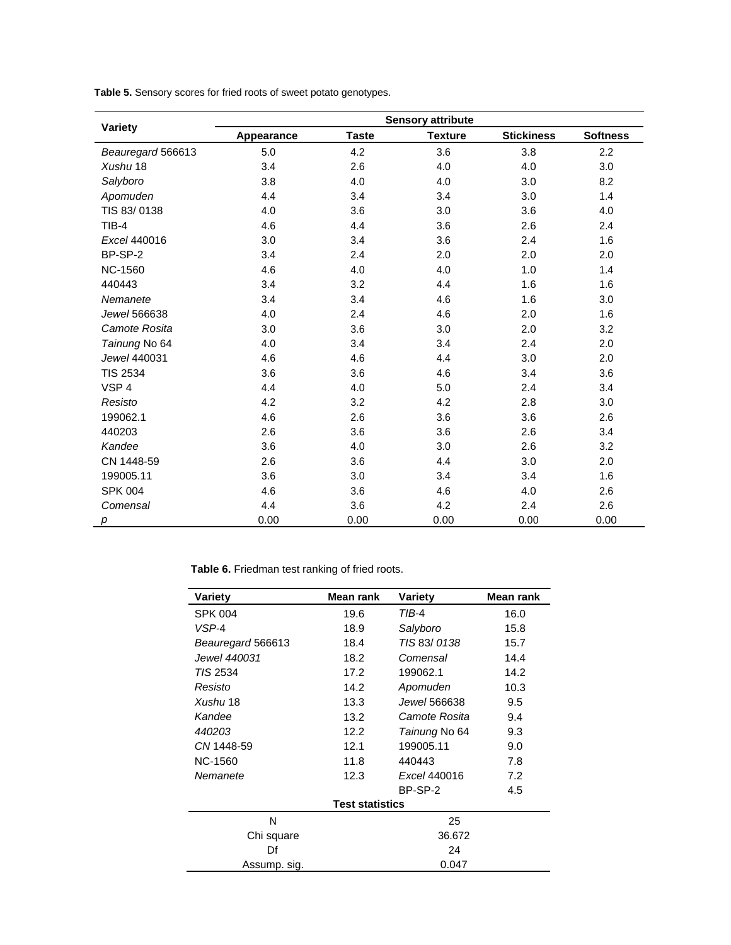|  |  | Table 5. Sensory scores for fried roots of sweet potato genotypes. |
|--|--|--------------------------------------------------------------------|
|--|--|--------------------------------------------------------------------|

|                   | <b>Sensory attribute</b> |              |                |                   |                 |  |
|-------------------|--------------------------|--------------|----------------|-------------------|-----------------|--|
| Variety           | Appearance               | <b>Taste</b> | <b>Texture</b> | <b>Stickiness</b> | <b>Softness</b> |  |
| Beauregard 566613 | 5.0                      | 4.2          | 3.6            | 3.8               | 2.2             |  |
| Xushu 18          | 3.4                      | 2.6          | 4.0            | 4.0               | 3.0             |  |
| Salyboro          | 3.8                      | 4.0          | 4.0            | 3.0               | 8.2             |  |
| Apomuden          | 4.4                      | 3.4          | 3.4            | 3.0               | 1.4             |  |
| TIS 83/0138       | 4.0                      | 3.6          | 3.0            | 3.6               | 4.0             |  |
| $TIB-4$           | 4.6                      | 4.4          | 3.6            | 2.6               | 2.4             |  |
| Excel 440016      | 3.0                      | 3.4          | 3.6            | 2.4               | 1.6             |  |
| BP-SP-2           | 3.4                      | 2.4          | 2.0            | 2.0               | 2.0             |  |
| <b>NC-1560</b>    | 4.6                      | 4.0          | 4.0            | 1.0               | 1.4             |  |
| 440443            | 3.4                      | 3.2          | 4.4            | 1.6               | 1.6             |  |
| Nemanete          | 3.4                      | 3.4          | 4.6            | 1.6               | 3.0             |  |
| Jewel 566638      | 4.0                      | 2.4          | 4.6            | 2.0               | 1.6             |  |
| Camote Rosita     | 3.0                      | 3.6          | 3.0            | 2.0               | 3.2             |  |
| Tainung No 64     | 4.0                      | 3.4          | 3.4            | 2.4               | 2.0             |  |
| Jewel 440031      | 4.6                      | 4.6          | 4.4            | 3.0               | 2.0             |  |
| <b>TIS 2534</b>   | 3.6                      | 3.6          | 4.6            | 3.4               | 3.6             |  |
| VSP <sub>4</sub>  | 4.4                      | 4.0          | 5.0            | 2.4               | 3.4             |  |
| Resisto           | 4.2                      | 3.2          | 4.2            | 2.8               | 3.0             |  |
| 199062.1          | 4.6                      | 2.6          | 3.6            | 3.6               | 2.6             |  |
| 440203            | 2.6                      | 3.6          | 3.6            | 2.6               | 3.4             |  |
| Kandee            | 3.6                      | 4.0          | 3.0            | 2.6               | 3.2             |  |
| CN 1448-59        | 2.6                      | 3.6          | 4.4            | 3.0               | 2.0             |  |
| 199005.11         | 3.6                      | 3.0          | 3.4            | 3.4               | 1.6             |  |
| <b>SPK 004</b>    | 4.6                      | 3.6          | 4.6            | 4.0               | 2.6             |  |
| Comensal          | 4.4                      | 3.6          | 4.2            | 2.4               | 2.6             |  |
| p                 | 0.00                     | 0.00         | 0.00           | 0.00              | 0.00            |  |

**Table 6.** Friedman test ranking of fried roots.

| Variety                | Mean rank | Variety       | Mean rank |  |  |
|------------------------|-----------|---------------|-----------|--|--|
| <b>SPK 004</b>         | 19.6      | TIB-4         | 16.0      |  |  |
| VSP-4                  | 18.9      | Salyboro      | 15.8      |  |  |
| Beauregard 566613      | 18.4      | TIS 83/0138   | 15.7      |  |  |
| Jewel 440031           | 18.2      | Comensal      | 14.4      |  |  |
| TIS 2534               | 17.2      | 199062.1      | 14.2      |  |  |
| Resisto                | 14.2      | Apomuden      | 10.3      |  |  |
| Xushu 18               | 13.3      | Jewel 566638  | 9.5       |  |  |
| Kandee                 | 13.2      | Camote Rosita | 9.4       |  |  |
| 440203                 | 12.2      | Tainung No 64 | 9.3       |  |  |
| CN 1448-59             | 12.1      | 199005.11     | 9.0       |  |  |
| NC-1560                | 11.8      | 440443        | 7.8       |  |  |
| Nemanete               | 12.3      | Excel 440016  | 7.2       |  |  |
|                        |           | BP-SP-2       | 4.5       |  |  |
| <b>Test statistics</b> |           |               |           |  |  |
| N                      |           | 25            |           |  |  |
| Chi square             |           | 36.672        |           |  |  |
| Df                     | 24        |               |           |  |  |
| Assump. sig.           |           | 0.047         |           |  |  |